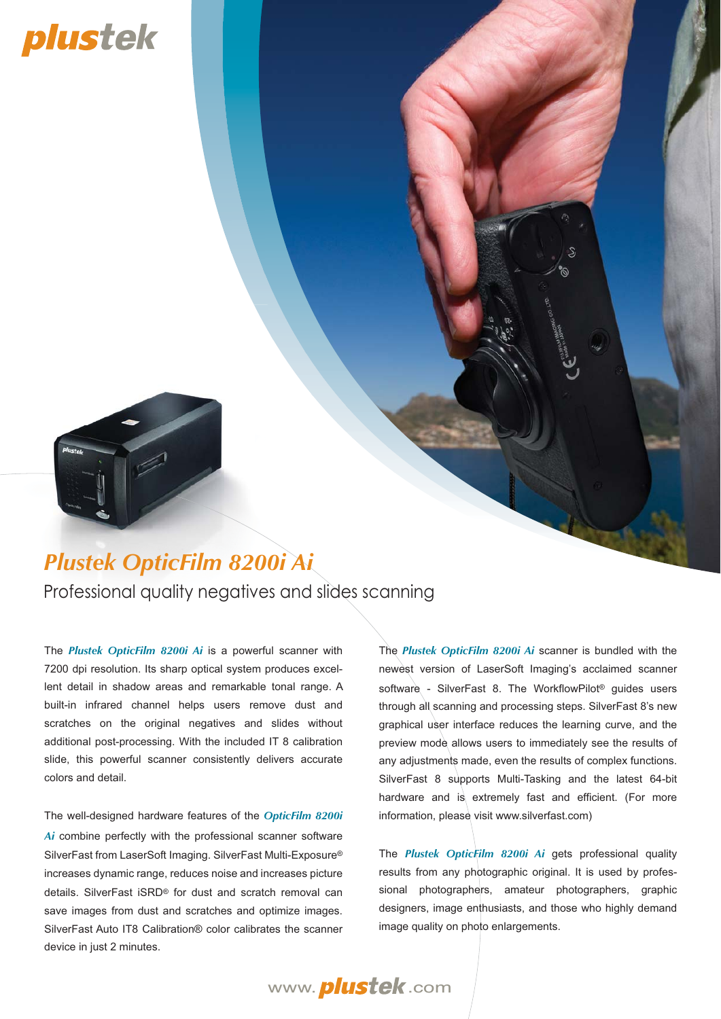# plustek



## *Plustek OpticFilm 8200i Ai*

Professional quality negatives and slides scanning

The *Plustek OpticFilm 8200i Ai* is a powerful scanner with 7200 dpi resolution. Its sharp optical system produces excellent detail in shadow areas and remarkable tonal range. A built-in infrared channel helps users remove dust and scratches on the original negatives and slides without additional post-processing. With the included IT 8 calibration slide, this powerful scanner consistently delivers accurate colors and detail.

The well-designed hardware features of the *OpticFilm 8200i Ai* combine perfectly with the professional scanner software SilverFast from LaserSoft Imaging. SilverFast Multi-Exposure® increases dynamic range, reduces noise and increases picture details. SilverFast iSRD® for dust and scratch removal can save images from dust and scratches and optimize images. SilverFast Auto IT8 Calibration® color calibrates the scanner device in just 2 minutes.

The *Plustek OpticFilm 8200i Ai* scanner is bundled with the newest version of LaserSoft Imaging's acclaimed scanner software - SilverFast 8. The WorkflowPilot® guides users through all scanning and processing steps. SilverFast 8's new graphical user interface reduces the learning curve, and the preview mode allows users to immediately see the results of any adjustments made, even the results of complex functions. SilverFast 8 supports Multi-Tasking and the latest 64-bit hardware and is extremely fast and efficient. (For more information, please visit www.silverfast.com)

The *Plustek OpticFilm 8200i Ai* gets professional quality results from any photographic original. It is used by professional photographers, amateur photographers, graphic designers, image enthusiasts, and those who highly demand image quality on photo enlargements.

www. *plustek*.com